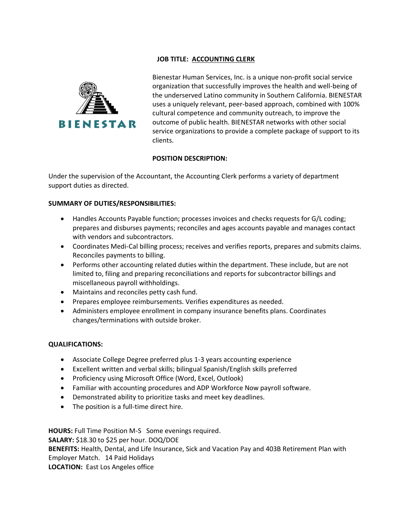## **JOB TITLE: ACCOUNTING CLERK**



Bienestar Human Services, Inc. is a unique non-profit social service organization that successfully improves the health and well-being of the underserved Latino community in Southern California. BIENESTAR uses a uniquely relevant, peer-based approach, combined with 100% cultural competence and community outreach, to improve the outcome of public health. BIENESTAR networks with other social service organizations to provide a complete package of support to its clients.

## **POSITION DESCRIPTION:**

Under the supervision of the Accountant, the Accounting Clerk performs a variety of department support duties as directed.

## **SUMMARY OF DUTIES/RESPONSIBILITIES:**

- Handles Accounts Payable function; processes invoices and checks requests for G/L coding; prepares and disburses payments; reconciles and ages accounts payable and manages contact with vendors and subcontractors.
- Coordinates Medi-Cal billing process; receives and verifies reports, prepares and submits claims. Reconciles payments to billing.
- Performs other accounting related duties within the department. These include, but are not limited to, filing and preparing reconciliations and reports for subcontractor billings and miscellaneous payroll withholdings.
- Maintains and reconciles petty cash fund.
- Prepares employee reimbursements. Verifies expenditures as needed.
- Administers employee enrollment in company insurance benefits plans. Coordinates changes/terminations with outside broker.

## **QUALIFICATIONS:**

- Associate College Degree preferred plus 1-3 years accounting experience
- Excellent written and verbal skills; bilingual Spanish/English skills preferred
- Proficiency using Microsoft Office (Word, Excel, Outlook)
- Familiar with accounting procedures and ADP Workforce Now payroll software.
- Demonstrated ability to prioritize tasks and meet key deadlines.
- The position is a full-time direct hire.

**HOURS:** Full Time Position M-S Some evenings required. **SALARY:** \$18.30 to \$25 per hour. DOQ/DOE **BENEFITS:** Health, Dental, and Life Insurance, Sick and Vacation Pay and 403B Retirement Plan with Employer Match. 14 Paid Holidays **LOCATION:** East Los Angeles office